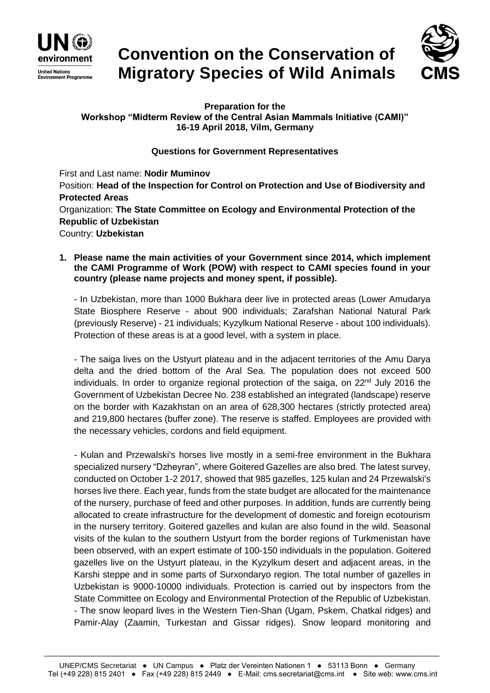

# **Convention on the Conservation of Migratory Species of Wild Animals**



**Preparation for the Workshop "Midterm Review of the Central Asian Mammals Initiative (CAMI)" 16-19 April 2018, Vilm, Germany**

#### **Questions for Government Representatives**

First and Last name: **Nodir Muminov** Position: **Head of the Inspection for Control on Protection and Use of Biodiversity and Protected Areas** Organization: **The State Committee on Ecology and Environmental Protection of the Republic of Uzbekistan** Country: **Uzbekistan**

**1. Please name the main activities of your Government since 2014, which implement the CAMI Programme of Work (POW) with respect to CAMI species found in your country (please name projects and money spent, if possible).**

- In Uzbekistan, more than 1000 Bukhara deer live in protected areas (Lower Amudarya State Biosphere Reserve - about 900 individuals; Zarafshan National Natural Park (previously Reserve) - 21 individuals; Kyzylkum National Reserve - about 100 individuals). Protection of these areas is at a good level, with a system in place.

- The saiga lives on the Ustyurt plateau and in the adjacent territories of the Amu Darya delta and the dried bottom of the Aral Sea. The population does not exceed 500 individuals. In order to organize regional protection of the saiga, on 22<sup>nd</sup> July 2016 the Government of Uzbekistan Decree No. 238 established an integrated (landscape) reserve on the border with Kazakhstan on an area of 628,300 hectares (strictly protected area) and 219,800 hectares (buffer zone). The reserve is staffed. Employees are provided with the necessary vehicles, cordons and field equipment.

- Kulan and Przewalski's horses live mostly in a semi-free environment in the Bukhara specialized nursery "Dzheyran", where Goitered Gazelles are also bred. The latest survey, conducted on October 1-2 2017, showed that 985 gazelles, 125 kulan and 24 Przewalski's horses live there. Each year, funds from the state budget are allocated for the maintenance of the nursery, purchase of feed and other purposes. In addition, funds are currently being allocated to create infrastructure for the development of domestic and foreign ecotourism in the nursery territory. Goitered gazelles and kulan are also found in the wild. Seasonal visits of the kulan to the southern Ustyurt from the border regions of Turkmenistan have been observed, with an expert estimate of 100-150 individuals in the population. Goitered gazelles live on the Ustyurt plateau, in the Kyzylkum desert and adjacent areas, in the Karshi steppe and in some parts of Surxondaryo region. The total number of gazelles in Uzbekistan is 9000-10000 individuals. Protection is carried out by inspectors from the State Committee on Ecology and Environmental Protection of the Republic of Uzbekistan. - The snow leopard lives in the Western Tien-Shan (Ugam, Pskem, Chatkal ridges) and Pamir-Alay (Zaamin, Turkestan and Gissar ridges). Snow leopard monitoring and

\_\_\_\_\_\_\_\_\_\_\_\_\_\_\_\_\_\_\_\_\_\_\_\_\_\_\_\_\_\_\_\_\_\_\_\_\_\_\_\_\_\_\_\_\_\_\_\_\_\_\_\_\_\_\_\_\_\_\_\_\_\_\_\_\_\_\_\_\_\_\_\_\_\_\_\_\_\_\_\_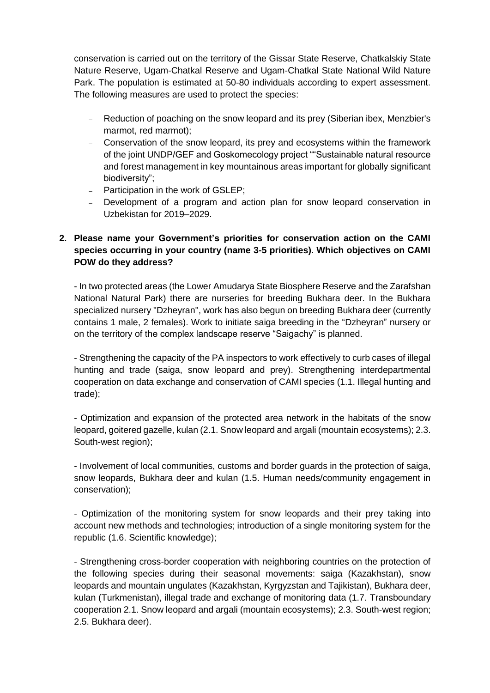conservation is carried out on the territory of the Gissar State Reserve, Chatkalskiy State Nature Reserve, Ugam-Chatkal Reserve and Ugam-Chatkal State National Wild Nature Park. The population is estimated at 50-80 individuals according to expert assessment. The following measures are used to protect the species:

- Reduction of poaching on the snow leopard and its prey (Siberian ibex, Menzbier's marmot, red marmot);
- Conservation of the snow leopard, its prey and ecosystems within the framework of the joint UNDP/GEF and Goskomecology project ""Sustainable natural resource and forest management in key mountainous areas important for globally significant biodiversity";
- Participation in the work of GSLEP;
- Development of a program and action plan for snow leopard conservation in Uzbekistan for 2019–2029.

## **2. Please name your Government's priorities for conservation action on the CAMI species occurring in your country (name 3-5 priorities). Which objectives on CAMI POW do they address?**

- In two protected areas (the Lower Amudarya State Biosphere Reserve and the Zarafshan National Natural Park) there are nurseries for breeding Bukhara deer. In the Bukhara specialized nursery "Dzheyran", work has also begun on breeding Bukhara deer (currently contains 1 male, 2 females). Work to initiate saiga breeding in the "Dzheyran" nursery or on the territory of the complex landscape reserve "Saigachy" is planned.

- Strengthening the capacity of the PA inspectors to work effectively to curb cases of illegal hunting and trade (saiga, snow leopard and prey). Strengthening interdepartmental cooperation on data exchange and conservation of CAMI species (1.1. Illegal hunting and trade);

- Optimization and expansion of the protected area network in the habitats of the snow leopard, goitered gazelle, kulan (2.1. Snow leopard and argali (mountain ecosystems); 2.3. South-west region);

- Involvement of local communities, customs and border guards in the protection of saiga, snow leopards, Bukhara deer and kulan (1.5. Human needs/community engagement in conservation);

- Optimization of the monitoring system for snow leopards and their prey taking into account new methods and technologies; introduction of a single monitoring system for the republic (1.6. Scientific knowledge);

- Strengthening cross-border cooperation with neighboring countries on the protection of the following species during their seasonal movements: saiga (Kazakhstan), snow leopards and mountain ungulates (Kazakhstan, Kyrgyzstan and Tajikistan), Bukhara deer, kulan (Turkmenistan), illegal trade and exchange of monitoring data (1.7. Transboundary cooperation 2.1. Snow leopard and argali (mountain ecosystems); 2.3. South-west region; 2.5. Bukhara deer).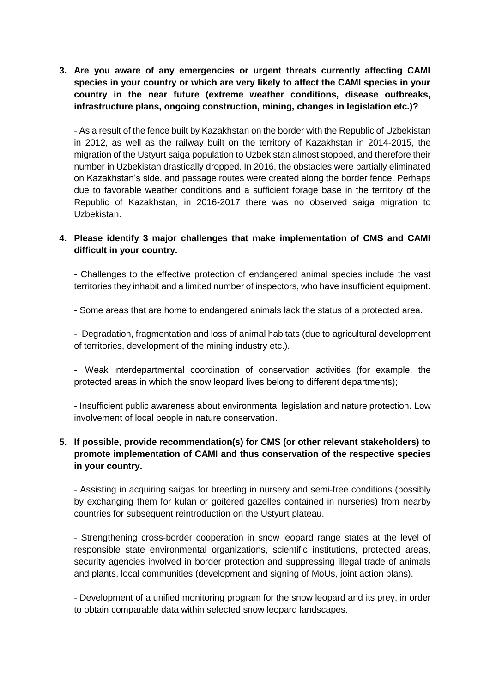**3. Are you aware of any emergencies or urgent threats currently affecting CAMI species in your country or which are very likely to affect the CAMI species in your country in the near future (extreme weather conditions, disease outbreaks, infrastructure plans, ongoing construction, mining, changes in legislation etc.)?**

- As a result of the fence built by Kazakhstan on the border with the Republic of Uzbekistan in 2012, as well as the railway built on the territory of Kazakhstan in 2014-2015, the migration of the Ustyurt saiga population to Uzbekistan almost stopped, and therefore their number in Uzbekistan drastically dropped. In 2016, the obstacles were partially eliminated on Kazakhstan's side, and passage routes were created along the border fence. Perhaps due to favorable weather conditions and a sufficient forage base in the territory of the Republic of Kazakhstan, in 2016-2017 there was no observed saiga migration to Uzbekistan.

#### **4. Please identify 3 major challenges that make implementation of CMS and CAMI difficult in your country.**

- Challenges to the effective protection of endangered animal species include the vast territories they inhabit and a limited number of inspectors, who have insufficient equipment.

- Some areas that are home to endangered animals lack the status of a protected area.

- Degradation, fragmentation and loss of animal habitats (due to agricultural development of territories, development of the mining industry etc.).

- Weak interdepartmental coordination of conservation activities (for example, the protected areas in which the snow leopard lives belong to different departments);

- Insufficient public awareness about environmental legislation and nature protection. Low involvement of local people in nature conservation.

## **5. If possible, provide recommendation(s) for CMS (or other relevant stakeholders) to promote implementation of CAMI and thus conservation of the respective species in your country.**

- Assisting in acquiring saigas for breeding in nursery and semi-free conditions (possibly by exchanging them for kulan or goitered gazelles contained in nurseries) from nearby countries for subsequent reintroduction on the Ustyurt plateau.

- Strengthening cross-border cooperation in snow leopard range states at the level of responsible state environmental organizations, scientific institutions, protected areas, security agencies involved in border protection and suppressing illegal trade of animals and plants, local communities (development and signing of MoUs, joint action plans).

- Development of a unified monitoring program for the snow leopard and its prey, in order to obtain comparable data within selected snow leopard landscapes.